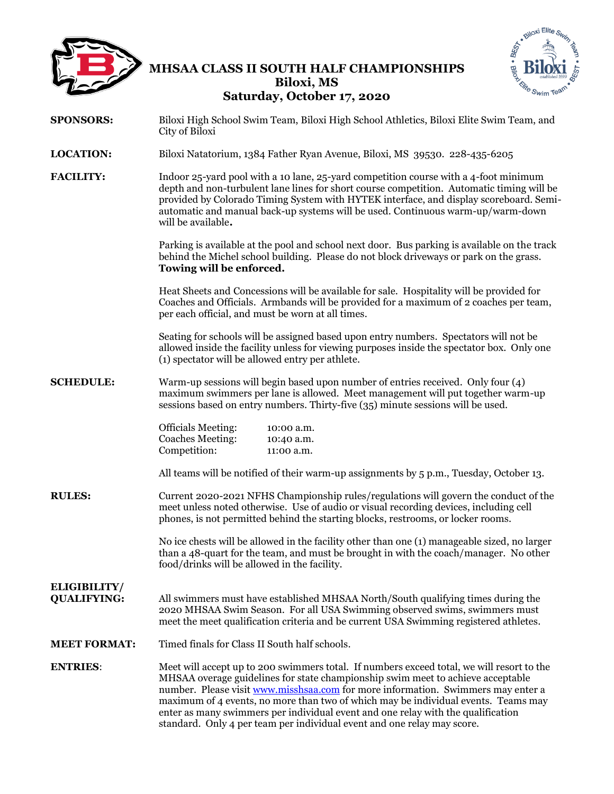

# **MHSAA CLASS II SOUTH HALF CHAMPIONSHIPS Biloxi, MS Saturday, October 17, 2020**



- **SPONSORS:** Biloxi High School Swim Team, Biloxi High School Athletics, Biloxi Elite Swim Team, and City of Biloxi **LOCATION:** Biloxi Natatorium, 1384 Father Ryan Avenue, Biloxi, MS 39530. 228-435-6205 **FACILITY:** Indoor 25-yard pool with a 10 lane, 25-yard competition course with a 4-foot minimum
	- depth and non-turbulent lane lines for short course competition. Automatic timing will be provided by Colorado Timing System with HYTEK interface, and display scoreboard. Semiautomatic and manual back-up systems will be used. Continuous warm-up/warm-down will be available**.**

Parking is available at the pool and school next door. Bus parking is available on the track behind the Michel school building. Please do not block driveways or park on the grass. **Towing will be enforced.** 

Heat Sheets and Concessions will be available for sale. Hospitality will be provided for Coaches and Officials. Armbands will be provided for a maximum of 2 coaches per team, per each official, and must be worn at all times.

Seating for schools will be assigned based upon entry numbers. Spectators will not be allowed inside the facility unless for viewing purposes inside the spectator box. Only one (1) spectator will be allowed entry per athlete.

**SCHEDULE:** Warm-up sessions will begin based upon number of entries received. Only four (4) maximum swimmers per lane is allowed. Meet management will put together warm-up sessions based on entry numbers. Thirty-five (35) minute sessions will be used.

| 10:00 a.m. |
|------------|
| 10:40 a.m. |
| 11:00 a.m. |
|            |

All teams will be notified of their warm-up assignments by 5 p.m., Tuesday, October 13.

**RULES:** Current 2020-2021 NFHS Championship rules/regulations will govern the conduct of the meet unless noted otherwise. Use of audio or visual recording devices, including cell phones, is not permitted behind the starting blocks, restrooms, or locker rooms.

> No ice chests will be allowed in the facility other than one (1) manageable sized, no larger than a 48-quart for the team, and must be brought in with the coach/manager. No other food/drinks will be allowed in the facility.

# **ELIGIBILITY/**

**QUALIFYING:** All swimmers must have established MHSAA North/South qualifying times during the 2020 MHSAA Swim Season. For all USA Swimming observed swims, swimmers must meet the meet qualification criteria and be current USA Swimming registered athletes.

## **MEET FORMAT:** Timed finals for Class II South half schools.

**ENTRIES**: Meet will accept up to 200 swimmers total. If numbers exceed total, we will resort to the MHSAA overage guidelines for state championship swim meet to achieve acceptable number. Please visit [www.misshsaa.com](http://www.misshsaa.com/) for more information. Swimmers may enter a maximum of 4 events, no more than two of which may be individual events. Teams may enter as many swimmers per individual event and one relay with the qualification standard. Only 4 per team per individual event and one relay may score.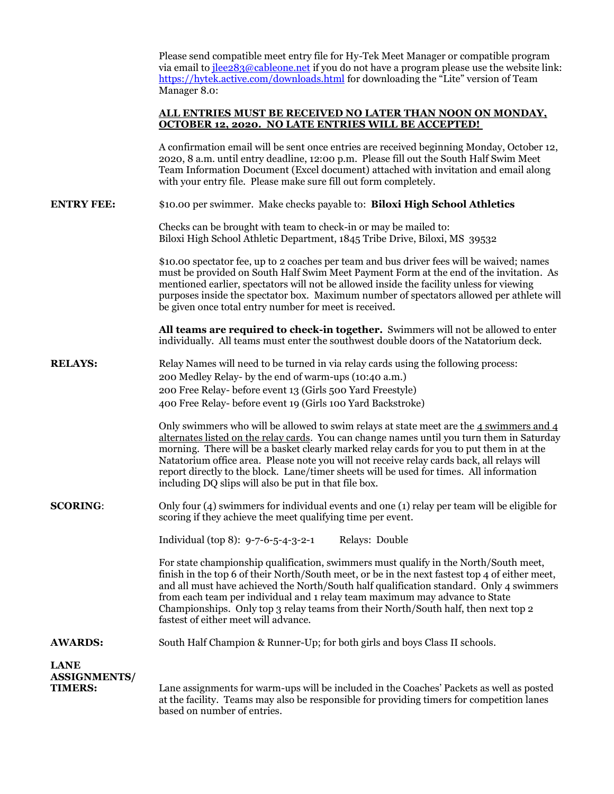|                                                      | Please send compatible meet entry file for Hy-Tek Meet Manager or compatible program<br>via email to <u>ilee283@cableone.net</u> if you do not have a program please use the website link:<br>https://hytek.active.com/downloads.html for downloading the "Lite" version of Team<br>Manager 8.0:                                                                                                                                                                                                                                        |  |  |  |  |  |
|------------------------------------------------------|-----------------------------------------------------------------------------------------------------------------------------------------------------------------------------------------------------------------------------------------------------------------------------------------------------------------------------------------------------------------------------------------------------------------------------------------------------------------------------------------------------------------------------------------|--|--|--|--|--|
|                                                      | <u>ALL ENTRIES MUST BE RECEIVED NO LATER THAN NOON ON MONDAY,</u><br><b>OCTOBER 12, 2020. NO LATE ENTRIES WILL BE ACCEPTED!</b>                                                                                                                                                                                                                                                                                                                                                                                                         |  |  |  |  |  |
|                                                      | A confirmation email will be sent once entries are received beginning Monday, October 12,<br>2020, 8 a.m. until entry deadline, 12:00 p.m. Please fill out the South Half Swim Meet<br>Team Information Document (Excel document) attached with invitation and email along<br>with your entry file. Please make sure fill out form completely.                                                                                                                                                                                          |  |  |  |  |  |
| <b>ENTRY FEE:</b>                                    | \$10.00 per swimmer. Make checks payable to: Biloxi High School Athletics                                                                                                                                                                                                                                                                                                                                                                                                                                                               |  |  |  |  |  |
|                                                      | Checks can be brought with team to check-in or may be mailed to:<br>Biloxi High School Athletic Department, 1845 Tribe Drive, Biloxi, MS 39532                                                                                                                                                                                                                                                                                                                                                                                          |  |  |  |  |  |
|                                                      | \$10.00 spectator fee, up to 2 coaches per team and bus driver fees will be waived; names<br>must be provided on South Half Swim Meet Payment Form at the end of the invitation. As<br>mentioned earlier, spectators will not be allowed inside the facility unless for viewing<br>purposes inside the spectator box. Maximum number of spectators allowed per athlete will<br>be given once total entry number for meet is received.                                                                                                   |  |  |  |  |  |
|                                                      | All teams are required to check-in together. Swimmers will not be allowed to enter<br>individually. All teams must enter the southwest double doors of the Natatorium deck.                                                                                                                                                                                                                                                                                                                                                             |  |  |  |  |  |
| <b>RELAYS:</b>                                       | Relay Names will need to be turned in via relay cards using the following process:<br>200 Medley Relay- by the end of warm-ups (10:40 a.m.)<br>200 Free Relay- before event 13 (Girls 500 Yard Freestyle)<br>400 Free Relay- before event 19 (Girls 100 Yard Backstroke)                                                                                                                                                                                                                                                                |  |  |  |  |  |
|                                                      | Only swimmers who will be allowed to swim relays at state meet are the $4$ swimmers and $4$<br>alternates listed on the relay cards. You can change names until you turn them in Saturday<br>morning. There will be a basket clearly marked relay cards for you to put them in at the<br>Natatorium office area. Please note you will not receive relay cards back, all relays will<br>report directly to the block. Lane/timer sheets will be used for times. All information<br>including DQ slips will also be put in that file box. |  |  |  |  |  |
| <b>SCORING:</b>                                      | Only four (4) swimmers for individual events and one (1) relay per team will be eligible for<br>scoring if they achieve the meet qualifying time per event.                                                                                                                                                                                                                                                                                                                                                                             |  |  |  |  |  |
|                                                      | Individual (top 8): 9-7-6-5-4-3-2-1<br>Relays: Double                                                                                                                                                                                                                                                                                                                                                                                                                                                                                   |  |  |  |  |  |
|                                                      | For state championship qualification, swimmers must qualify in the North/South meet,<br>finish in the top 6 of their North/South meet, or be in the next fastest top 4 of either meet,<br>and all must have achieved the North/South half qualification standard. Only 4 swimmers<br>from each team per individual and 1 relay team maximum may advance to State<br>Championships. Only top 3 relay teams from their North/South half, then next top 2<br>fastest of either meet will advance.                                          |  |  |  |  |  |
| <b>AWARDS:</b>                                       | South Half Champion & Runner-Up; for both girls and boys Class II schools.                                                                                                                                                                                                                                                                                                                                                                                                                                                              |  |  |  |  |  |
| <b>LANE</b><br><b>ASSIGNMENTS/</b><br><b>TIMERS:</b> | Lane assignments for warm-ups will be included in the Coaches' Packets as well as posted<br>at the facility. Teams may also be responsible for providing timers for competition lanes<br>based on number of entries.                                                                                                                                                                                                                                                                                                                    |  |  |  |  |  |